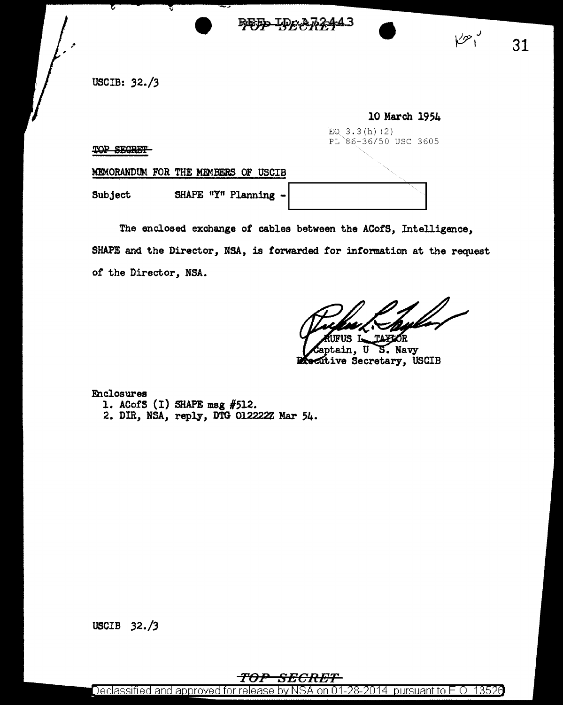BEED IDAAD

USCIB: *32./3* 

/'

|                                     | 10 March 1954        |
|-------------------------------------|----------------------|
|                                     | EQ $3.3(h)$ (2)      |
| <b>TOP SPODET</b>                   | PL 86-36/50 USC 3605 |
| MEMORANDUM FOR THE MEMBERS OF USCIB |                      |
| SHAPE "Y" Planning -<br>Subject     |                      |

The enclosed exchange of cables between the ACofS, Intelligence, SHAPE and the Director, NSA, is forwarded for information at the request of the Director, NSA.

**TAXIOR** 

ain, S. Navy U Precutive Secretary, USCIB

Enclosures 1. ACofS (I) SHAPE mag #512. 2. DIR, NSA, reply, DTG 012222Z Mar 54.

USCIB 32./3

## 'FOP SECRET

Declassified and approved for release by NSA on 01-28-2014 pursuant to E.O. 13526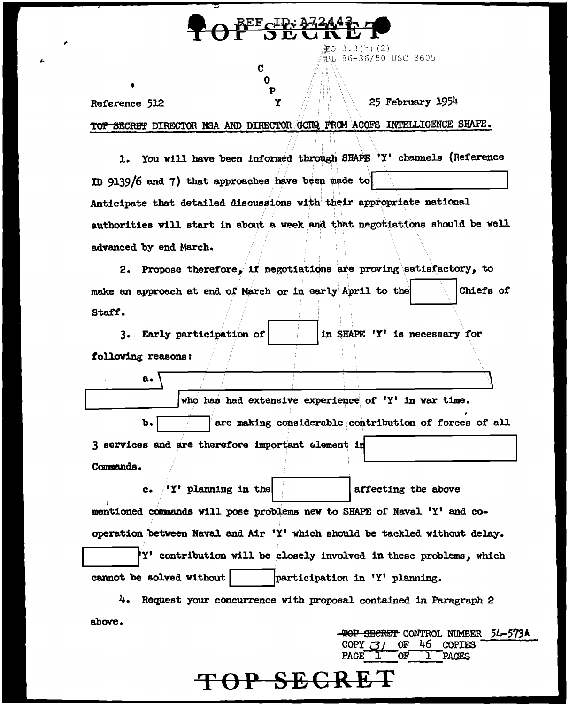| REF ID: 372443<br>ODU |                                                        |  |
|-----------------------|--------------------------------------------------------|--|
|                       | <u>氟</u> O 3.3(h)(2)<br>PL 86-36/50 USC 3605           |  |
|                       | C                                                      |  |
|                       | .<br>P<br>25 February 1954                             |  |
| Reference 512         | <b>SHAPE.</b>                                          |  |
|                       | DIRECTOR NSA AND DIRECTOR GCHQ FROM ACOFS INTELLIGENCE |  |

1. You will have been informed through SHAPE 'Y' channels (Reference In 9139/6 and 7) that approaches have been made to Anticipate that detailed discussions with their appropriate national authorities will start in about a week and that negotiations should be well advanced by end March.

2. Propose therefore, if negotiations are proving satisfactory, to make an approach at end of March or in early April to the Chiefs of Staff.

in SHAPE 'Y' is necessary for 3. Early participation of following reasons:

 $\mathbf{a}$ .

 $\bar{T}$ 

who has had extensive experience of 'Y' in war time. are making considerable contribution of forces of all b. 3 services and are therefore important element in Commands.

 $c_{\bullet}$ 'Y' planning in the affecting the above mentioned commands will pose problems new to SHAPE of Naval 'Y' and cooperation between Naval and Air 'Y' which should be tackled without delay. Y' contribution will be closely involved in these problems, which cannot be solved without participation in 'Y' planning.

4. Request your concurrence with proposal contained in Paragraph 2 above.

TOP SECRE'

**TOP SECRET CONTROL NUMBER 54-573A** 

**COPIES** 

**PAGES** 

-46-

**OF** 

OF T

COPY  $\mathcal{J}/$ 

PAGE<sup>T</sup>